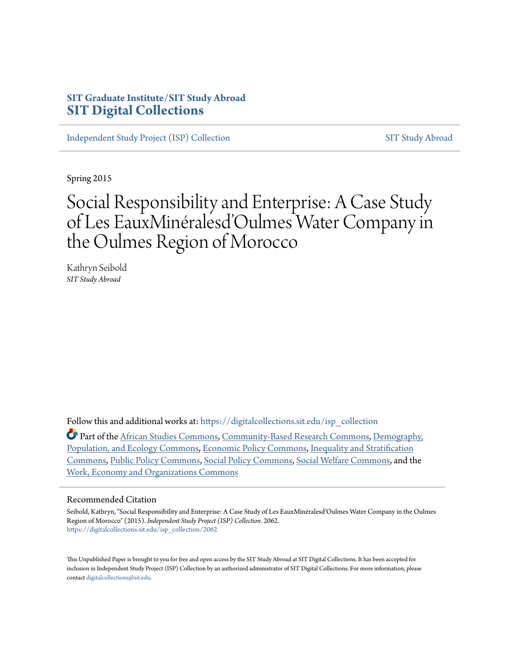# **SIT Graduate Institute/SIT Study Abroad [SIT Digital Collections](https://digitalcollections.sit.edu?utm_source=digitalcollections.sit.edu%2Fisp_collection%2F2062&utm_medium=PDF&utm_campaign=PDFCoverPages)**

[Independent Study Project \(ISP\) Collection](https://digitalcollections.sit.edu/isp_collection?utm_source=digitalcollections.sit.edu%2Fisp_collection%2F2062&utm_medium=PDF&utm_campaign=PDFCoverPages) [SIT Study Abroad](https://digitalcollections.sit.edu/study_abroad?utm_source=digitalcollections.sit.edu%2Fisp_collection%2F2062&utm_medium=PDF&utm_campaign=PDFCoverPages)

Spring 2015

# Social Responsibility and Enterprise: A Case Study of Les EauxMinéralesd'Oulmes Water Company in the Oulmes Region of Morocco

Kathryn Seibold *SIT Study Abroad*

Follow this and additional works at: [https://digitalcollections.sit.edu/isp\\_collection](https://digitalcollections.sit.edu/isp_collection?utm_source=digitalcollections.sit.edu%2Fisp_collection%2F2062&utm_medium=PDF&utm_campaign=PDFCoverPages)

Part of the [African Studies Commons](http://network.bepress.com/hgg/discipline/1043?utm_source=digitalcollections.sit.edu%2Fisp_collection%2F2062&utm_medium=PDF&utm_campaign=PDFCoverPages), [Community-Based Research Commons,](http://network.bepress.com/hgg/discipline/1047?utm_source=digitalcollections.sit.edu%2Fisp_collection%2F2062&utm_medium=PDF&utm_campaign=PDFCoverPages) [Demography,](http://network.bepress.com/hgg/discipline/418?utm_source=digitalcollections.sit.edu%2Fisp_collection%2F2062&utm_medium=PDF&utm_campaign=PDFCoverPages) [Population, and Ecology Commons](http://network.bepress.com/hgg/discipline/418?utm_source=digitalcollections.sit.edu%2Fisp_collection%2F2062&utm_medium=PDF&utm_campaign=PDFCoverPages), [Economic Policy Commons,](http://network.bepress.com/hgg/discipline/1025?utm_source=digitalcollections.sit.edu%2Fisp_collection%2F2062&utm_medium=PDF&utm_campaign=PDFCoverPages) [Inequality and Stratification](http://network.bepress.com/hgg/discipline/421?utm_source=digitalcollections.sit.edu%2Fisp_collection%2F2062&utm_medium=PDF&utm_campaign=PDFCoverPages) [Commons,](http://network.bepress.com/hgg/discipline/421?utm_source=digitalcollections.sit.edu%2Fisp_collection%2F2062&utm_medium=PDF&utm_campaign=PDFCoverPages) [Public Policy Commons,](http://network.bepress.com/hgg/discipline/400?utm_source=digitalcollections.sit.edu%2Fisp_collection%2F2062&utm_medium=PDF&utm_campaign=PDFCoverPages) [Social Policy Commons,](http://network.bepress.com/hgg/discipline/1030?utm_source=digitalcollections.sit.edu%2Fisp_collection%2F2062&utm_medium=PDF&utm_campaign=PDFCoverPages) [Social Welfare Commons,](http://network.bepress.com/hgg/discipline/401?utm_source=digitalcollections.sit.edu%2Fisp_collection%2F2062&utm_medium=PDF&utm_campaign=PDFCoverPages) and the [Work, Economy and Organizations Commons](http://network.bepress.com/hgg/discipline/433?utm_source=digitalcollections.sit.edu%2Fisp_collection%2F2062&utm_medium=PDF&utm_campaign=PDFCoverPages)

#### Recommended Citation

Seibold, Kathryn, "Social Responsibility and Enterprise: A Case Study of Les EauxMinéralesd'Oulmes Water Company in the Oulmes Region of Morocco" (2015). *Independent Study Project (ISP) Collection*. 2062. [https://digitalcollections.sit.edu/isp\\_collection/2062](https://digitalcollections.sit.edu/isp_collection/2062?utm_source=digitalcollections.sit.edu%2Fisp_collection%2F2062&utm_medium=PDF&utm_campaign=PDFCoverPages)

This Unpublished Paper is brought to you for free and open access by the SIT Study Abroad at SIT Digital Collections. It has been accepted for inclusion in Independent Study Project (ISP) Collection by an authorized administrator of SIT Digital Collections. For more information, please contact [digitalcollections@sit.edu](mailto:digitalcollections@sit.edu).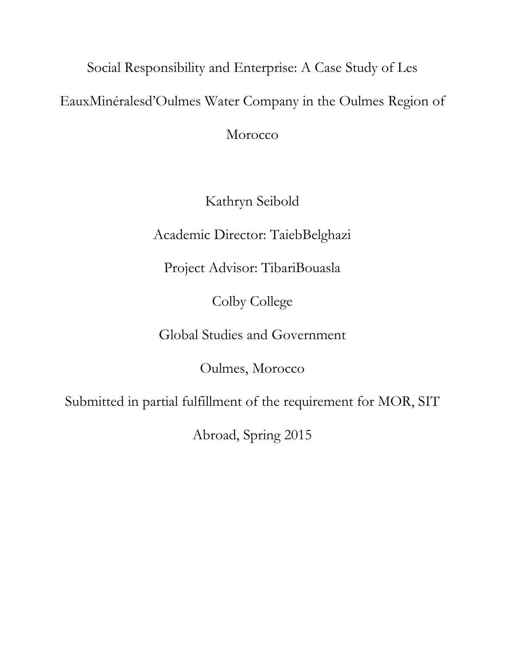Social Responsibility and Enterprise: A Case Study of Les EauxMinéralesd'Oulmes Water Company in the Oulmes Region of Morocco

Kathryn Seibold

Academic Director: TaiebBelghazi

Project Advisor: TibariBouasla

Colby College

Global Studies and Government

Oulmes, Morocco

Submitted in partial fulfillment of the requirement for MOR, SIT

Abroad, Spring 2015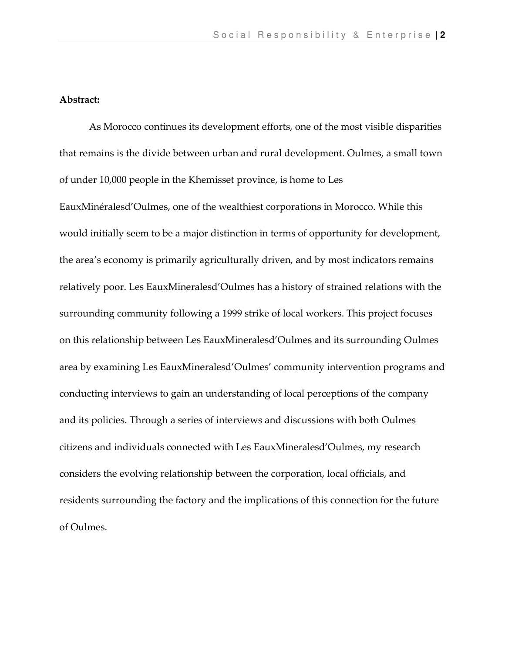## Abstract:

As Morocco continues its development efforts, one of the most visible disparities that remains is the divide between urban and rural development. Oulmes, a small town of under 10,000 people in the Khemisset province, is home to Les

EauxMinéralesd'Oulmes, one of the wealthiest corporations in Morocco. While this would initially seem to be a major distinction in terms of opportunity for development, the area's economy is primarily agriculturally driven, and by most indicators remains relatively poor. Les EauxMineralesd'Oulmes has a history of strained relations with the surrounding community following a 1999 strike of local workers. This project focuses on this relationship between Les EauxMineralesd'Oulmes and its surrounding Oulmes area by examining Les EauxMineralesd'Oulmes' community intervention programs and conducting interviews to gain an understanding of local perceptions of the company and its policies. Through a series of interviews and discussions with both Oulmes citizens and individuals connected with Les EauxMineralesd'Oulmes, my research considers the evolving relationship between the corporation, local officials, and residents surrounding the factory and the implications of this connection for the future of Oulmes.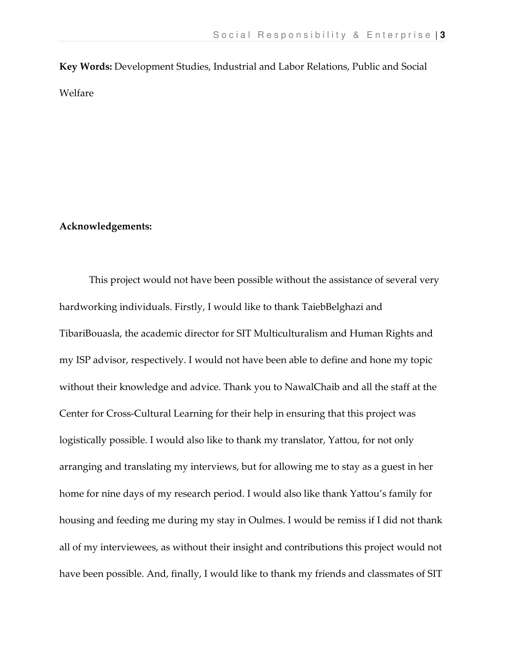Key Words: Development Studies, Industrial and Labor Relations, Public and Social Welfare

### Acknowledgements:

This project would not have been possible without the assistance of several very hardworking individuals. Firstly, I would like to thank TaiebBelghazi and TibariBouasla, the academic director for SIT Multiculturalism and Human Rights and my ISP advisor, respectively. I would not have been able to define and hone my topic without their knowledge and advice. Thank you to NawalChaib and all the staff at the Center for Cross-Cultural Learning for their help in ensuring that this project was logistically possible. I would also like to thank my translator, Yattou, for not only arranging and translating my interviews, but for allowing me to stay as a guest in her home for nine days of my research period. I would also like thank Yattou's family for housing and feeding me during my stay in Oulmes. I would be remiss if I did not thank all of my interviewees, as without their insight and contributions this project would not have been possible. And, finally, I would like to thank my friends and classmates of SIT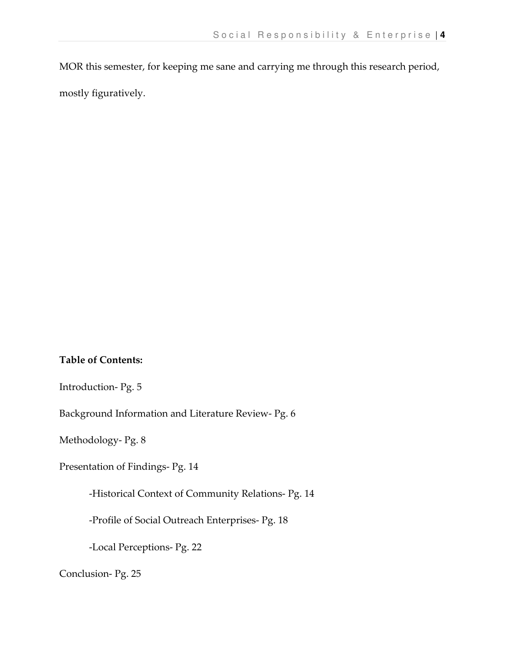MOR this semester, for keeping me sane and carrying me through this research period,

mostly figuratively.

# Table of Contents:

Introduction- Pg. 5

Background Information and Literature Review- Pg. 6

Methodology- Pg. 8

Presentation of Findings- Pg. 14

-Historical Context of Community Relations- Pg. 14

-Profile of Social Outreach Enterprises- Pg. 18

-Local Perceptions- Pg. 22

Conclusion- Pg. 25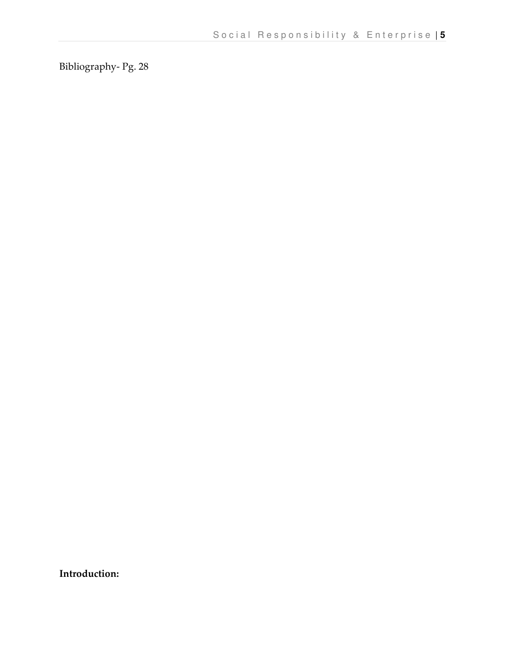Bibliography- Pg. 28

Introduction: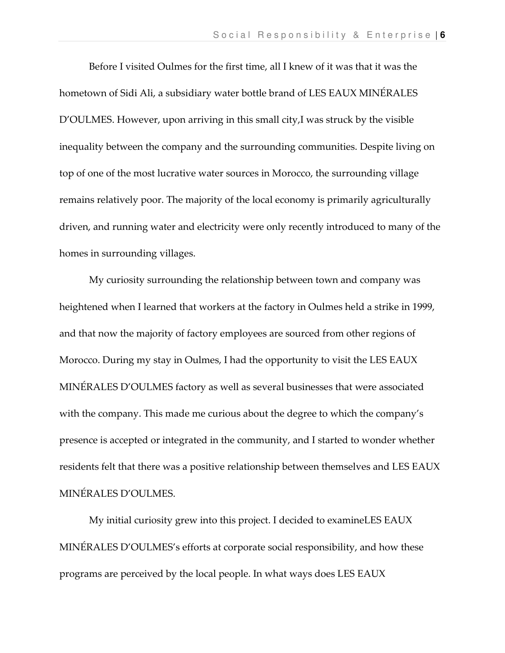Before I visited Oulmes for the first time, all I knew of it was that it was the hometown of Sidi Ali, a subsidiary water bottle brand of LES EAUX MINÉRALES D'OULMES. However, upon arriving in this small city,I was struck by the visible inequality between the company and the surrounding communities. Despite living on top of one of the most lucrative water sources in Morocco, the surrounding village remains relatively poor. The majority of the local economy is primarily agriculturally driven, and running water and electricity were only recently introduced to many of the homes in surrounding villages.

My curiosity surrounding the relationship between town and company was heightened when I learned that workers at the factory in Oulmes held a strike in 1999, and that now the majority of factory employees are sourced from other regions of Morocco. During my stay in Oulmes, I had the opportunity to visit the LES EAUX MINÉRALES D'OULMES factory as well as several businesses that were associated with the company. This made me curious about the degree to which the company's presence is accepted or integrated in the community, and I started to wonder whether residents felt that there was a positive relationship between themselves and LES EAUX MINÉRALES D'OULMES.

My initial curiosity grew into this project. I decided to examineLES EAUX MINÉRALES D'OULMES's efforts at corporate social responsibility, and how these programs are perceived by the local people. In what ways does LES EAUX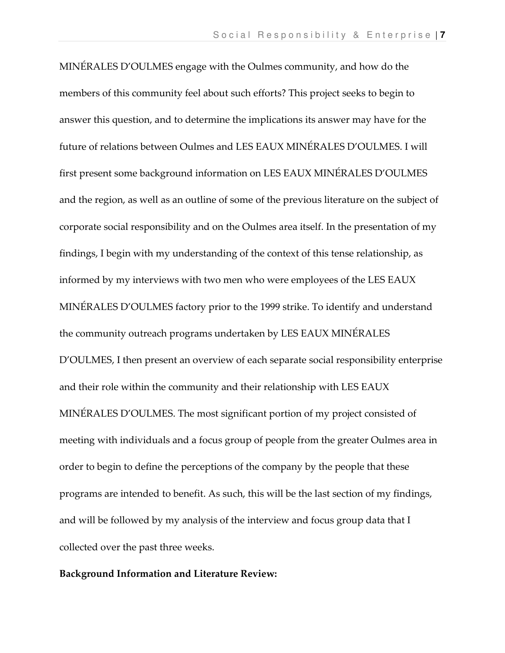MINÉRALES D'OULMES engage with the Oulmes community, and how do the members of this community feel about such efforts? This project seeks to begin to answer this question, and to determine the implications its answer may have for the future of relations between Oulmes and LES EAUX MINÉRALES D'OULMES. I will first present some background information on LES EAUX MINÉRALES D'OULMES and the region, as well as an outline of some of the previous literature on the subject of corporate social responsibility and on the Oulmes area itself. In the presentation of my findings, I begin with my understanding of the context of this tense relationship, as informed by my interviews with two men who were employees of the LES EAUX MINÉRALES D'OULMES factory prior to the 1999 strike. To identify and understand the community outreach programs undertaken by LES EAUX MINÉRALES D'OULMES, I then present an overview of each separate social responsibility enterprise and their role within the community and their relationship with LES EAUX MINÉRALES D'OULMES. The most significant portion of my project consisted of meeting with individuals and a focus group of people from the greater Oulmes area in order to begin to define the perceptions of the company by the people that these programs are intended to benefit. As such, this will be the last section of my findings, and will be followed by my analysis of the interview and focus group data that I collected over the past three weeks.

#### Background Information and Literature Review: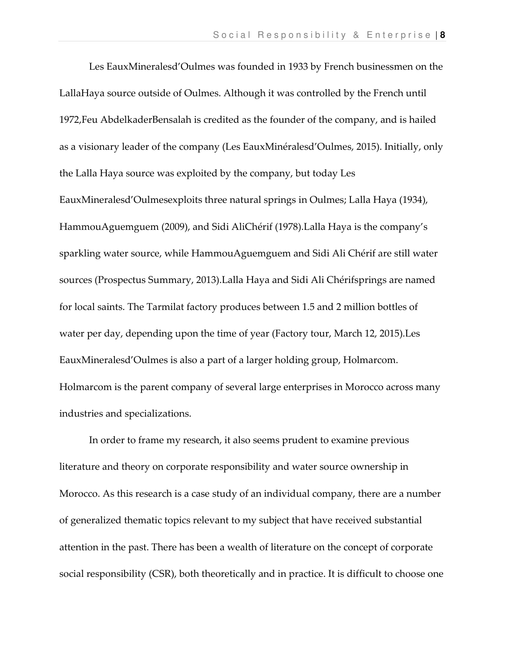Les EauxMineralesd'Oulmes was founded in 1933 by French businessmen on the LallaHaya source outside of Oulmes. Although it was controlled by the French until 1972,Feu AbdelkaderBensalah is credited as the founder of the company, and is hailed as a visionary leader of the company (Les EauxMinéralesd'Oulmes, 2015). Initially, only the Lalla Haya source was exploited by the company, but today Les EauxMineralesd'Oulmesexploits three natural springs in Oulmes; Lalla Haya (1934), HammouAguemguem (2009), and Sidi AliChérif (1978).Lalla Haya is the company's sparkling water source, while HammouAguemguem and Sidi Ali Chérif are still water sources (Prospectus Summary, 2013).Lalla Haya and Sidi Ali Chérifsprings are named for local saints. The Tarmilat factory produces between 1.5 and 2 million bottles of water per day, depending upon the time of year (Factory tour, March 12, 2015).Les EauxMineralesd'Oulmes is also a part of a larger holding group, Holmarcom. Holmarcom is the parent company of several large enterprises in Morocco across many industries and specializations.

In order to frame my research, it also seems prudent to examine previous literature and theory on corporate responsibility and water source ownership in Morocco. As this research is a case study of an individual company, there are a number of generalized thematic topics relevant to my subject that have received substantial attention in the past. There has been a wealth of literature on the concept of corporate social responsibility (CSR), both theoretically and in practice. It is difficult to choose one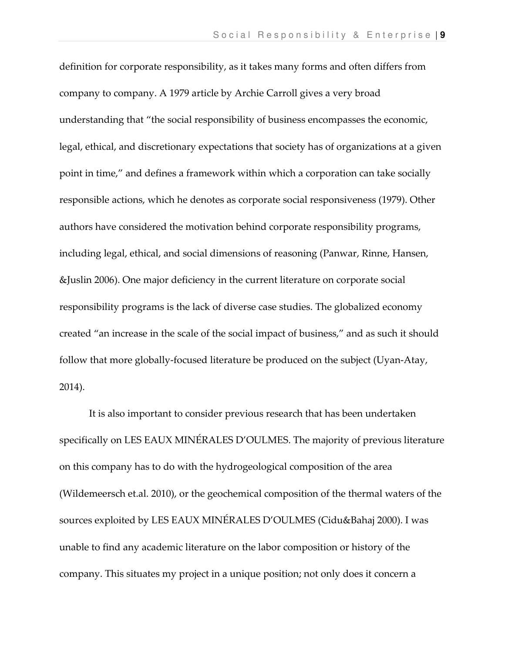definition for corporate responsibility, as it takes many forms and often differs from company to company. A 1979 article by Archie Carroll gives a very broad understanding that "the social responsibility of business encompasses the economic, legal, ethical, and discretionary expectations that society has of organizations at a given point in time," and defines a framework within which a corporation can take socially responsible actions, which he denotes as corporate social responsiveness (1979). Other authors have considered the motivation behind corporate responsibility programs, including legal, ethical, and social dimensions of reasoning (Panwar, Rinne, Hansen, &Juslin 2006). One major deficiency in the current literature on corporate social responsibility programs is the lack of diverse case studies. The globalized economy created "an increase in the scale of the social impact of business," and as such it should follow that more globally-focused literature be produced on the subject (Uyan-Atay, 2014).

 It is also important to consider previous research that has been undertaken specifically on LES EAUX MINÉRALES D'OULMES. The majority of previous literature on this company has to do with the hydrogeological composition of the area (Wildemeersch et.al. 2010), or the geochemical composition of the thermal waters of the sources exploited by LES EAUX MINÉRALES D'OULMES (Cidu&Bahaj 2000). I was unable to find any academic literature on the labor composition or history of the company. This situates my project in a unique position; not only does it concern a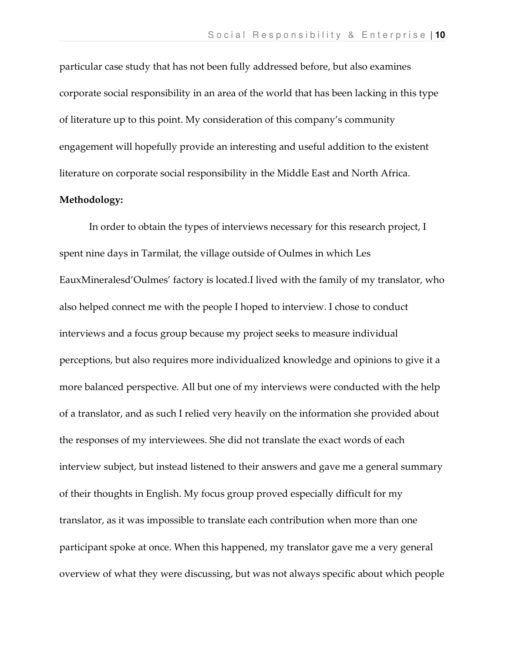particular case study that has not been fully addressed before, but also examines corporate social responsibility in an area of the world that has been lacking in this type of literature up to this point. My consideration of this company's community engagement will hopefully provide an interesting and useful addition to the existent literature on corporate social responsibility in the Middle East and North Africa.

#### Methodology:

In order to obtain the types of interviews necessary for this research project, I spent nine days in Tarmilat, the village outside of Oulmes in which Les EauxMineralesd'Oulmes' factory is located.I lived with the family of my translator, who also helped connect me with the people I hoped to interview. I chose to conduct interviews and a focus group because my project seeks to measure individual perceptions, but also requires more individualized knowledge and opinions to give it a more balanced perspective. All but one of my interviews were conducted with the help of a translator, and as such I relied very heavily on the information she provided about the responses of my interviewees. She did not translate the exact words of each interview subject, but instead listened to their answers and gave me a general summary of their thoughts in English. My focus group proved especially difficult for my translator, as it was impossible to translate each contribution when more than one participant spoke at once. When this happened, my translator gave me a very general overview of what they were discussing, but was not always specific about which people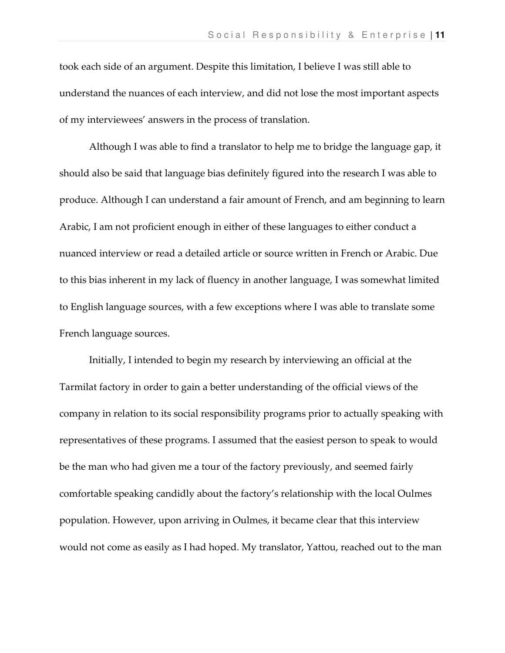took each side of an argument. Despite this limitation, I believe I was still able to understand the nuances of each interview, and did not lose the most important aspects of my interviewees' answers in the process of translation.

Although I was able to find a translator to help me to bridge the language gap, it should also be said that language bias definitely figured into the research I was able to produce. Although I can understand a fair amount of French, and am beginning to learn Arabic, I am not proficient enough in either of these languages to either conduct a nuanced interview or read a detailed article or source written in French or Arabic. Due to this bias inherent in my lack of fluency in another language, I was somewhat limited to English language sources, with a few exceptions where I was able to translate some French language sources.

Initially, I intended to begin my research by interviewing an official at the Tarmilat factory in order to gain a better understanding of the official views of the company in relation to its social responsibility programs prior to actually speaking with representatives of these programs. I assumed that the easiest person to speak to would be the man who had given me a tour of the factory previously, and seemed fairly comfortable speaking candidly about the factory's relationship with the local Oulmes population. However, upon arriving in Oulmes, it became clear that this interview would not come as easily as I had hoped. My translator, Yattou, reached out to the man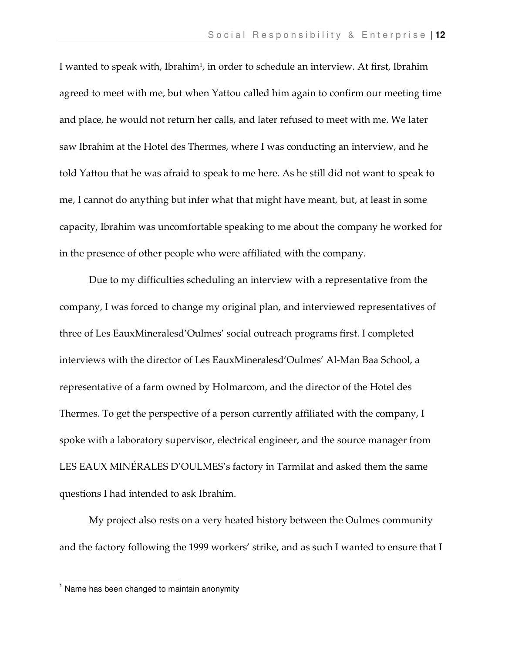I wanted to speak with, Ibrahim<sup>1</sup>, in order to schedule an interview. At first, Ibrahim agreed to meet with me, but when Yattou called him again to confirm our meeting time and place, he would not return her calls, and later refused to meet with me. We later saw Ibrahim at the Hotel des Thermes, where I was conducting an interview, and he told Yattou that he was afraid to speak to me here. As he still did not want to speak to me, I cannot do anything but infer what that might have meant, but, at least in some capacity, Ibrahim was uncomfortable speaking to me about the company he worked for in the presence of other people who were affiliated with the company.

Due to my difficulties scheduling an interview with a representative from the company, I was forced to change my original plan, and interviewed representatives of three of Les EauxMineralesd'Oulmes' social outreach programs first. I completed interviews with the director of Les EauxMineralesd'Oulmes' Al-Man Baa School, a representative of a farm owned by Holmarcom, and the director of the Hotel des Thermes. To get the perspective of a person currently affiliated with the company, I spoke with a laboratory supervisor, electrical engineer, and the source manager from LES EAUX MINÉRALES D'OULMES's factory in Tarmilat and asked them the same questions I had intended to ask Ibrahim.

My project also rests on a very heated history between the Oulmes community and the factory following the 1999 workers' strike, and as such I wanted to ensure that I

 $\overline{1}$ 

<sup>&</sup>lt;sup>1</sup> Name has been changed to maintain anonymity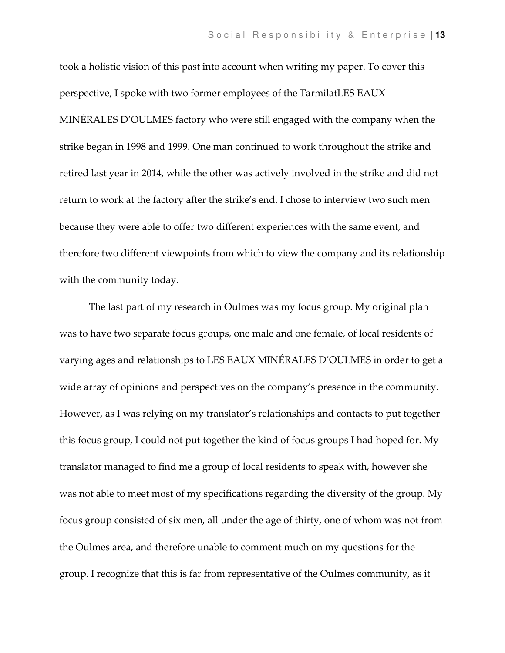took a holistic vision of this past into account when writing my paper. To cover this perspective, I spoke with two former employees of the TarmilatLES EAUX MINÉRALES D'OULMES factory who were still engaged with the company when the strike began in 1998 and 1999. One man continued to work throughout the strike and retired last year in 2014, while the other was actively involved in the strike and did not return to work at the factory after the strike's end. I chose to interview two such men because they were able to offer two different experiences with the same event, and therefore two different viewpoints from which to view the company and its relationship with the community today.

The last part of my research in Oulmes was my focus group. My original plan was to have two separate focus groups, one male and one female, of local residents of varying ages and relationships to LES EAUX MINÉRALES D'OULMES in order to get a wide array of opinions and perspectives on the company's presence in the community. However, as I was relying on my translator's relationships and contacts to put together this focus group, I could not put together the kind of focus groups I had hoped for. My translator managed to find me a group of local residents to speak with, however she was not able to meet most of my specifications regarding the diversity of the group. My focus group consisted of six men, all under the age of thirty, one of whom was not from the Oulmes area, and therefore unable to comment much on my questions for the group. I recognize that this is far from representative of the Oulmes community, as it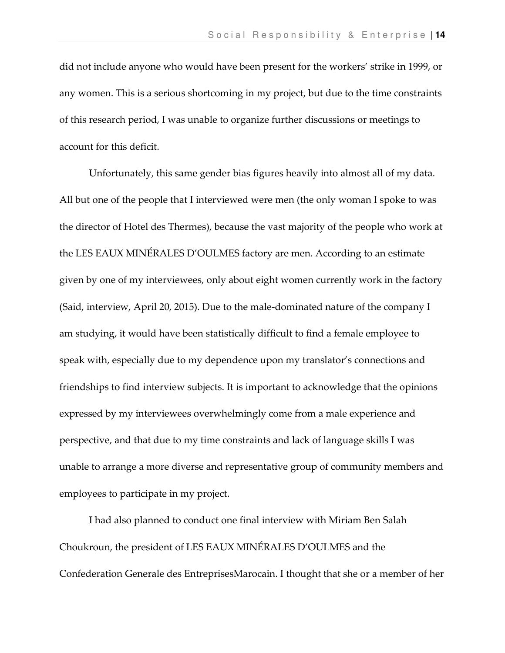did not include anyone who would have been present for the workers' strike in 1999, or any women. This is a serious shortcoming in my project, but due to the time constraints of this research period, I was unable to organize further discussions or meetings to account for this deficit.

Unfortunately, this same gender bias figures heavily into almost all of my data. All but one of the people that I interviewed were men (the only woman I spoke to was the director of Hotel des Thermes), because the vast majority of the people who work at the LES EAUX MINÉRALES D'OULMES factory are men. According to an estimate given by one of my interviewees, only about eight women currently work in the factory (Said, interview, April 20, 2015). Due to the male-dominated nature of the company I am studying, it would have been statistically difficult to find a female employee to speak with, especially due to my dependence upon my translator's connections and friendships to find interview subjects. It is important to acknowledge that the opinions expressed by my interviewees overwhelmingly come from a male experience and perspective, and that due to my time constraints and lack of language skills I was unable to arrange a more diverse and representative group of community members and employees to participate in my project.

I had also planned to conduct one final interview with Miriam Ben Salah Choukroun, the president of LES EAUX MINÉRALES D'OULMES and the Confederation Generale des EntreprisesMarocain. I thought that she or a member of her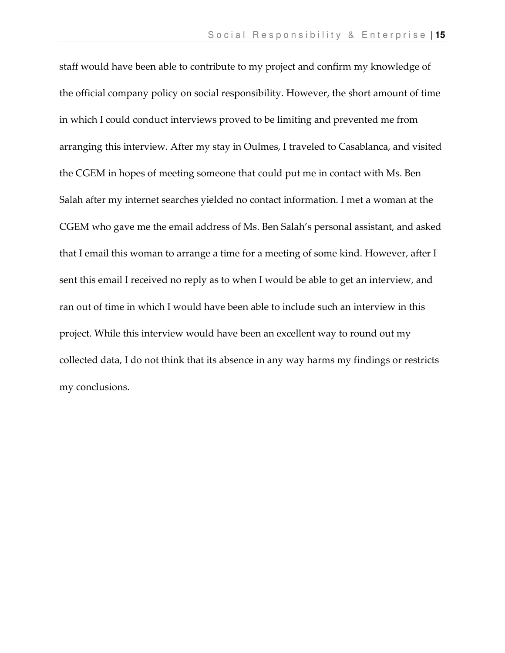staff would have been able to contribute to my project and confirm my knowledge of the official company policy on social responsibility. However, the short amount of time in which I could conduct interviews proved to be limiting and prevented me from arranging this interview. After my stay in Oulmes, I traveled to Casablanca, and visited the CGEM in hopes of meeting someone that could put me in contact with Ms. Ben Salah after my internet searches yielded no contact information. I met a woman at the CGEM who gave me the email address of Ms. Ben Salah's personal assistant, and asked that I email this woman to arrange a time for a meeting of some kind. However, after I sent this email I received no reply as to when I would be able to get an interview, and ran out of time in which I would have been able to include such an interview in this project. While this interview would have been an excellent way to round out my collected data, I do not think that its absence in any way harms my findings or restricts my conclusions.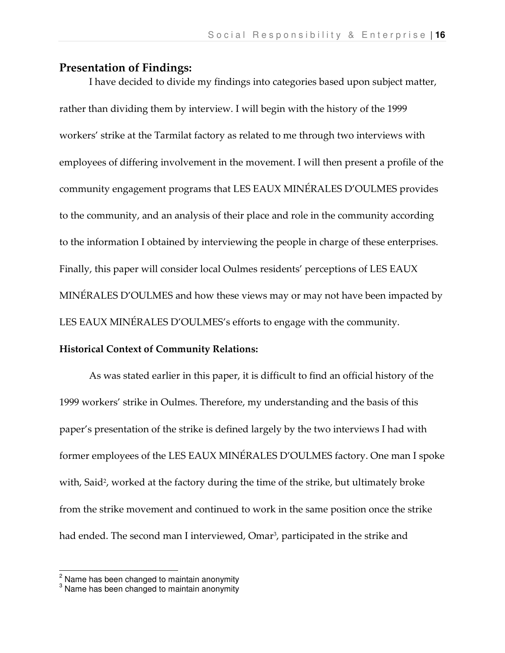## Presentation of Findings:

 I have decided to divide my findings into categories based upon subject matter, rather than dividing them by interview. I will begin with the history of the 1999 workers' strike at the Tarmilat factory as related to me through two interviews with employees of differing involvement in the movement. I will then present a profile of the community engagement programs that LES EAUX MINÉRALES D'OULMES provides to the community, and an analysis of their place and role in the community according to the information I obtained by interviewing the people in charge of these enterprises. Finally, this paper will consider local Oulmes residents' perceptions of LES EAUX MINÉRALES D'OULMES and how these views may or may not have been impacted by LES EAUX MINÉRALES D'OULMES's efforts to engage with the community.

## Historical Context of Community Relations:

 As was stated earlier in this paper, it is difficult to find an official history of the 1999 workers' strike in Oulmes. Therefore, my understanding and the basis of this paper's presentation of the strike is defined largely by the two interviews I had with former employees of the LES EAUX MINÉRALES D'OULMES factory. One man I spoke with, Said<sup>2</sup>, worked at the factory during the time of the strike, but ultimately broke from the strike movement and continued to work in the same position once the strike had ended. The second man I interviewed, Omar<sup>3</sup>, participated in the strike and

 2 Name has been changed to maintain anonymity 3 Name has been changed to maintain anonymity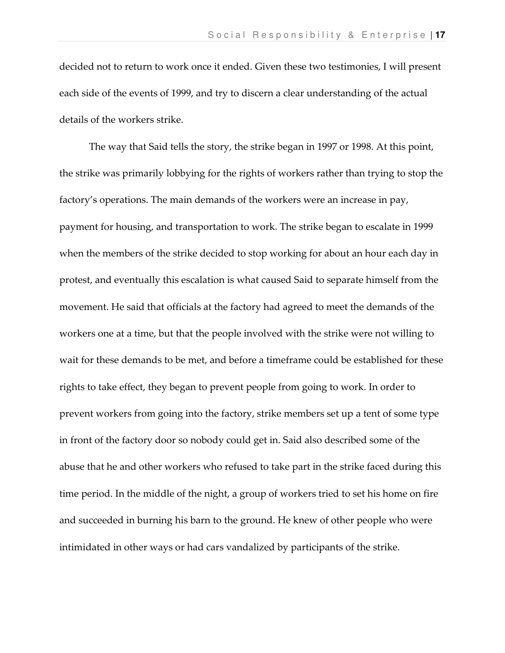decided not to return to work once it ended. Given these two testimonies, I will present each side of the events of 1999, and try to discern a clear understanding of the actual details of the workers strike.

 The way that Said tells the story, the strike began in 1997 or 1998. At this point, the strike was primarily lobbying for the rights of workers rather than trying to stop the factory's operations. The main demands of the workers were an increase in pay, payment for housing, and transportation to work. The strike began to escalate in 1999 when the members of the strike decided to stop working for about an hour each day in protest, and eventually this escalation is what caused Said to separate himself from the movement. He said that officials at the factory had agreed to meet the demands of the workers one at a time, but that the people involved with the strike were not willing to wait for these demands to be met, and before a timeframe could be established for these rights to take effect, they began to prevent people from going to work. In order to prevent workers from going into the factory, strike members set up a tent of some type in front of the factory door so nobody could get in. Said also described some of the abuse that he and other workers who refused to take part in the strike faced during this time period. In the middle of the night, a group of workers tried to set his home on fire and succeeded in burning his barn to the ground. He knew of other people who were intimidated in other ways or had cars vandalized by participants of the strike.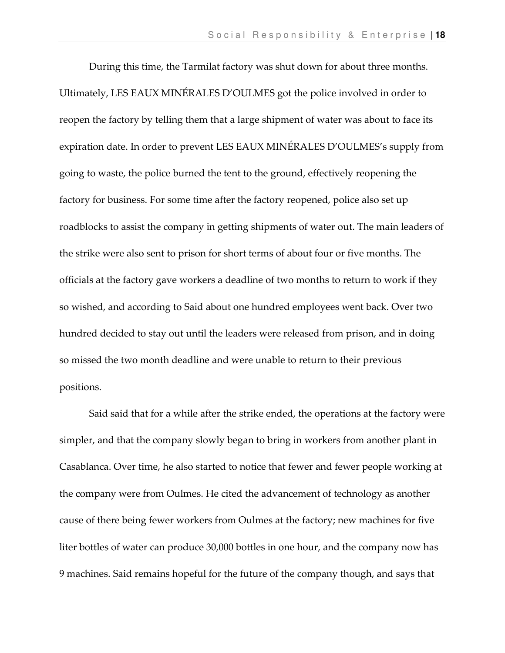During this time, the Tarmilat factory was shut down for about three months. Ultimately, LES EAUX MINÉRALES D'OULMES got the police involved in order to reopen the factory by telling them that a large shipment of water was about to face its expiration date. In order to prevent LES EAUX MINÉRALES D'OULMES's supply from going to waste, the police burned the tent to the ground, effectively reopening the factory for business. For some time after the factory reopened, police also set up roadblocks to assist the company in getting shipments of water out. The main leaders of the strike were also sent to prison for short terms of about four or five months. The officials at the factory gave workers a deadline of two months to return to work if they so wished, and according to Said about one hundred employees went back. Over two hundred decided to stay out until the leaders were released from prison, and in doing so missed the two month deadline and were unable to return to their previous positions.

 Said said that for a while after the strike ended, the operations at the factory were simpler, and that the company slowly began to bring in workers from another plant in Casablanca. Over time, he also started to notice that fewer and fewer people working at the company were from Oulmes. He cited the advancement of technology as another cause of there being fewer workers from Oulmes at the factory; new machines for five liter bottles of water can produce 30,000 bottles in one hour, and the company now has 9 machines. Said remains hopeful for the future of the company though, and says that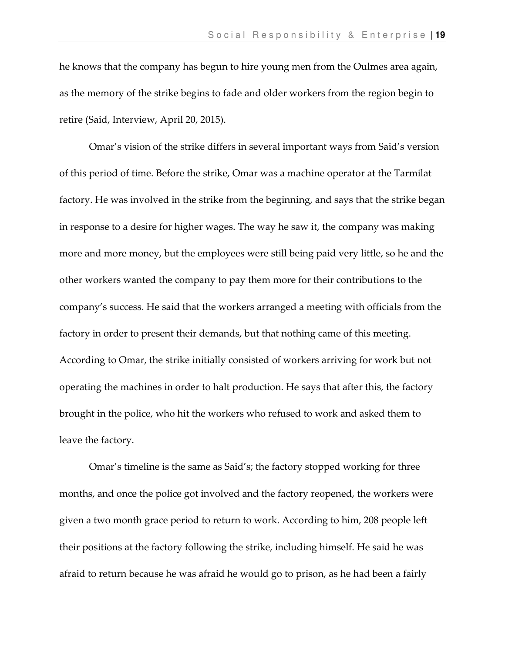he knows that the company has begun to hire young men from the Oulmes area again, as the memory of the strike begins to fade and older workers from the region begin to retire (Said, Interview, April 20, 2015).

 Omar's vision of the strike differs in several important ways from Said's version of this period of time. Before the strike, Omar was a machine operator at the Tarmilat factory. He was involved in the strike from the beginning, and says that the strike began in response to a desire for higher wages. The way he saw it, the company was making more and more money, but the employees were still being paid very little, so he and the other workers wanted the company to pay them more for their contributions to the company's success. He said that the workers arranged a meeting with officials from the factory in order to present their demands, but that nothing came of this meeting. According to Omar, the strike initially consisted of workers arriving for work but not operating the machines in order to halt production. He says that after this, the factory brought in the police, who hit the workers who refused to work and asked them to leave the factory.

Omar's timeline is the same as Said's; the factory stopped working for three months, and once the police got involved and the factory reopened, the workers were given a two month grace period to return to work. According to him, 208 people left their positions at the factory following the strike, including himself. He said he was afraid to return because he was afraid he would go to prison, as he had been a fairly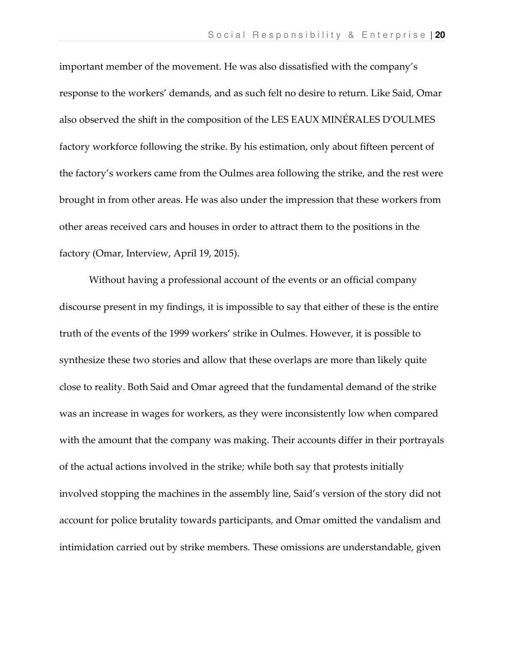important member of the movement. He was also dissatisfied with the company's response to the workers' demands, and as such felt no desire to return. Like Said, Omar also observed the shift in the composition of the LES EAUX MINÉRALES D'OULMES factory workforce following the strike. By his estimation, only about fifteen percent of the factory's workers came from the Oulmes area following the strike, and the rest were brought in from other areas. He was also under the impression that these workers from other areas received cars and houses in order to attract them to the positions in the factory (Omar, Interview, April 19, 2015).

 Without having a professional account of the events or an official company discourse present in my findings, it is impossible to say that either of these is the entire truth of the events of the 1999 workers' strike in Oulmes. However, it is possible to synthesize these two stories and allow that these overlaps are more than likely quite close to reality. Both Said and Omar agreed that the fundamental demand of the strike was an increase in wages for workers, as they were inconsistently low when compared with the amount that the company was making. Their accounts differ in their portrayals of the actual actions involved in the strike; while both say that protests initially involved stopping the machines in the assembly line, Said's version of the story did not account for police brutality towards participants, and Omar omitted the vandalism and intimidation carried out by strike members. These omissions are understandable, given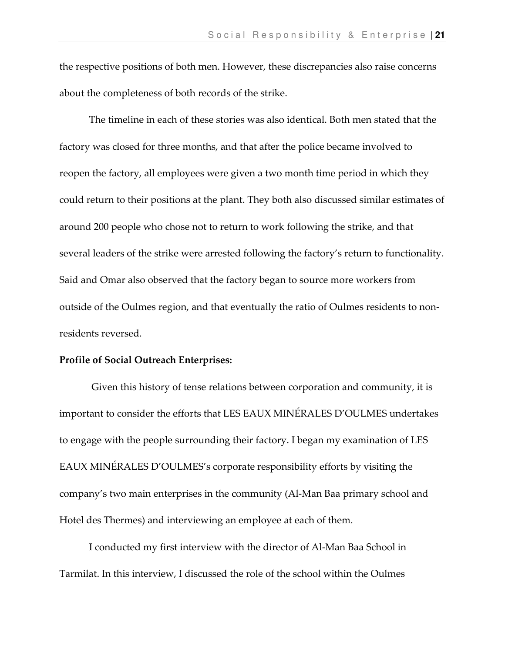the respective positions of both men. However, these discrepancies also raise concerns about the completeness of both records of the strike.

 The timeline in each of these stories was also identical. Both men stated that the factory was closed for three months, and that after the police became involved to reopen the factory, all employees were given a two month time period in which they could return to their positions at the plant. They both also discussed similar estimates of around 200 people who chose not to return to work following the strike, and that several leaders of the strike were arrested following the factory's return to functionality. Said and Omar also observed that the factory began to source more workers from outside of the Oulmes region, and that eventually the ratio of Oulmes residents to nonresidents reversed.

#### Profile of Social Outreach Enterprises:

 Given this history of tense relations between corporation and community, it is important to consider the efforts that LES EAUX MINÉRALES D'OULMES undertakes to engage with the people surrounding their factory. I began my examination of LES EAUX MINÉRALES D'OULMES's corporate responsibility efforts by visiting the company's two main enterprises in the community (Al-Man Baa primary school and Hotel des Thermes) and interviewing an employee at each of them.

 I conducted my first interview with the director of Al-Man Baa School in Tarmilat. In this interview, I discussed the role of the school within the Oulmes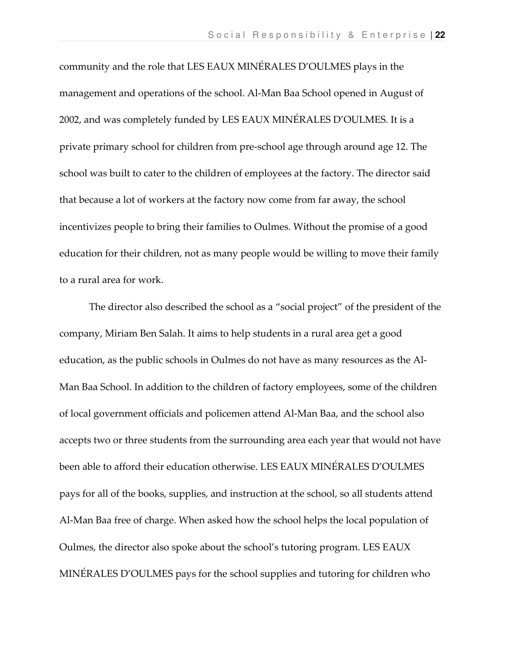community and the role that LES EAUX MINÉRALES D'OULMES plays in the management and operations of the school. Al-Man Baa School opened in August of 2002, and was completely funded by LES EAUX MINÉRALES D'OULMES. It is a private primary school for children from pre-school age through around age 12. The school was built to cater to the children of employees at the factory. The director said that because a lot of workers at the factory now come from far away, the school incentivizes people to bring their families to Oulmes. Without the promise of a good education for their children, not as many people would be willing to move their family to a rural area for work.

The director also described the school as a "social project" of the president of the company, Miriam Ben Salah. It aims to help students in a rural area get a good education, as the public schools in Oulmes do not have as many resources as the Al-Man Baa School. In addition to the children of factory employees, some of the children of local government officials and policemen attend Al-Man Baa, and the school also accepts two or three students from the surrounding area each year that would not have been able to afford their education otherwise. LES EAUX MINÉRALES D'OULMES pays for all of the books, supplies, and instruction at the school, so all students attend Al-Man Baa free of charge. When asked how the school helps the local population of Oulmes, the director also spoke about the school's tutoring program. LES EAUX MINÉRALES D'OULMES pays for the school supplies and tutoring for children who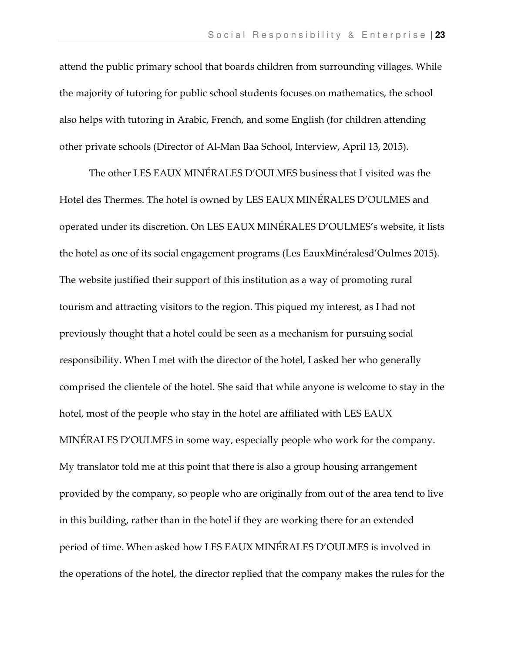attend the public primary school that boards children from surrounding villages. While the majority of tutoring for public school students focuses on mathematics, the school also helps with tutoring in Arabic, French, and some English (for children attending other private schools (Director of Al-Man Baa School, Interview, April 13, 2015).

The other LES EAUX MINÉRALES D'OULMES business that I visited was the Hotel des Thermes. The hotel is owned by LES EAUX MINÉRALES D'OULMES and operated under its discretion. On LES EAUX MINÉRALES D'OULMES's website, it lists the hotel as one of its social engagement programs (Les EauxMinéralesd'Oulmes 2015). The website justified their support of this institution as a way of promoting rural tourism and attracting visitors to the region. This piqued my interest, as I had not previously thought that a hotel could be seen as a mechanism for pursuing social responsibility. When I met with the director of the hotel, I asked her who generally comprised the clientele of the hotel. She said that while anyone is welcome to stay in the hotel, most of the people who stay in the hotel are affiliated with LES EAUX MINÉRALES D'OULMES in some way, especially people who work for the company. My translator told me at this point that there is also a group housing arrangement provided by the company, so people who are originally from out of the area tend to live in this building, rather than in the hotel if they are working there for an extended period of time. When asked how LES EAUX MINÉRALES D'OULMES is involved in the operations of the hotel, the director replied that the company makes the rules for the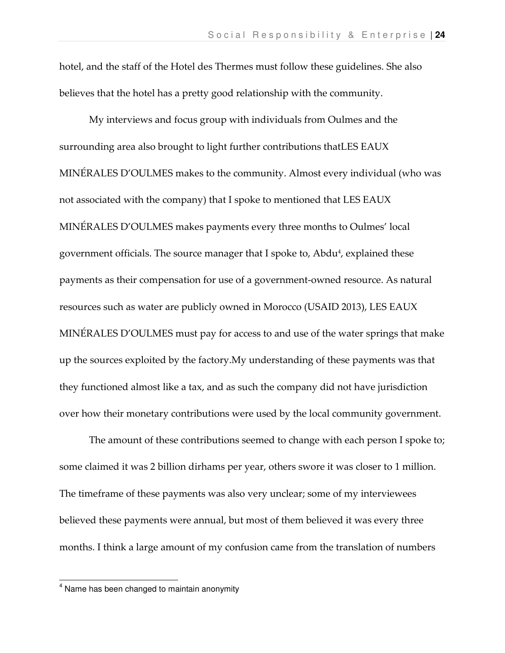hotel, and the staff of the Hotel des Thermes must follow these guidelines. She also believes that the hotel has a pretty good relationship with the community.

My interviews and focus group with individuals from Oulmes and the surrounding area also brought to light further contributions thatLES EAUX MINÉRALES D'OULMES makes to the community. Almost every individual (who was not associated with the company) that I spoke to mentioned that LES EAUX MINÉRALES D'OULMES makes payments every three months to Oulmes' local government officials. The source manager that I spoke to, Abdu<sup>4</sup>, explained these payments as their compensation for use of a government-owned resource. As natural resources such as water are publicly owned in Morocco (USAID 2013), LES EAUX MINÉRALES D'OULMES must pay for access to and use of the water springs that make up the sources exploited by the factory.My understanding of these payments was that they functioned almost like a tax, and as such the company did not have jurisdiction over how their monetary contributions were used by the local community government.

The amount of these contributions seemed to change with each person I spoke to; some claimed it was 2 billion dirhams per year, others swore it was closer to 1 million. The timeframe of these payments was also very unclear; some of my interviewees believed these payments were annual, but most of them believed it was every three months. I think a large amount of my confusion came from the translation of numbers

 $\overline{\phantom{a}}$ 

<sup>&</sup>lt;sup>4</sup> Name has been changed to maintain anonymity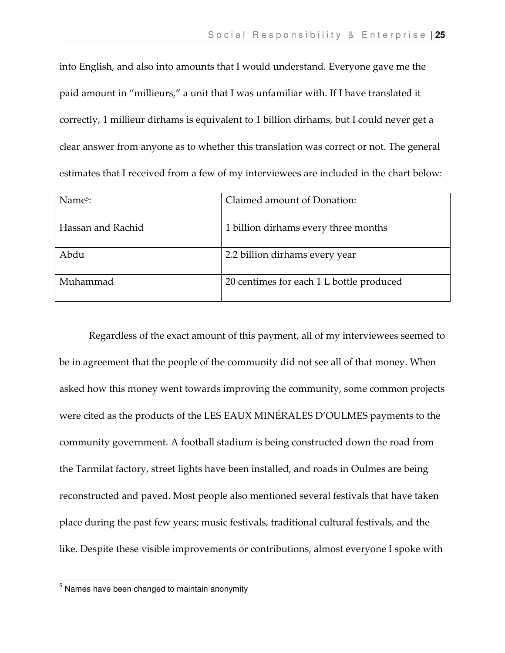into English, and also into amounts that I would understand. Everyone gave me the paid amount in "millieurs," a unit that I was unfamiliar with. If I have translated it correctly, 1 millieur dirhams is equivalent to 1 billion dirhams, but I could never get a clear answer from anyone as to whether this translation was correct or not. The general estimates that I received from a few of my interviewees are included in the chart below:

| Name <sup>5</sup> : | Claimed amount of Donation:              |
|---------------------|------------------------------------------|
| Hassan and Rachid   | 1 billion dirhams every three months     |
| Abdu                | 2.2 billion dirhams every year           |
| Muhammad            | 20 centimes for each 1 L bottle produced |

Regardless of the exact amount of this payment, all of my interviewees seemed to be in agreement that the people of the community did not see all of that money. When asked how this money went towards improving the community, some common projects were cited as the products of the LES EAUX MINÉRALES D'OULMES payments to the community government. A football stadium is being constructed down the road from the Tarmilat factory, street lights have been installed, and roads in Oulmes are being reconstructed and paved. Most people also mentioned several festivals that have taken place during the past few years; music festivals, traditional cultural festivals, and the like. Despite these visible improvements or contributions, almost everyone I spoke with

 5 Names have been changed to maintain anonymity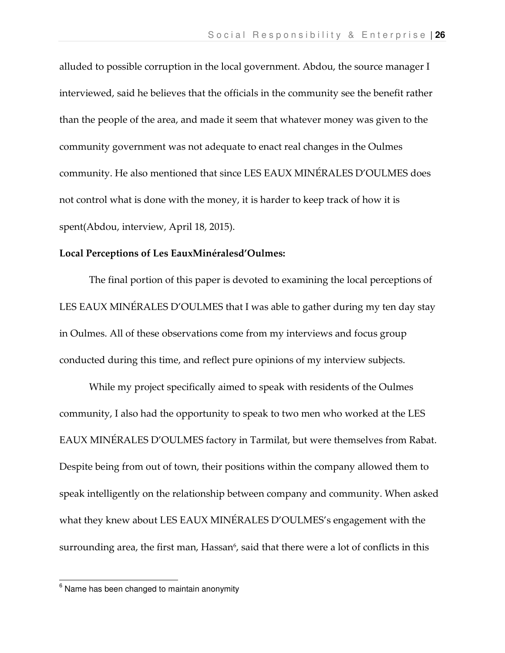alluded to possible corruption in the local government. Abdou, the source manager I interviewed, said he believes that the officials in the community see the benefit rather than the people of the area, and made it seem that whatever money was given to the community government was not adequate to enact real changes in the Oulmes community. He also mentioned that since LES EAUX MINÉRALES D'OULMES does not control what is done with the money, it is harder to keep track of how it is spent(Abdou, interview, April 18, 2015).

#### Local Perceptions of Les EauxMinéralesd'Oulmes:

 The final portion of this paper is devoted to examining the local perceptions of LES EAUX MINÉRALES D'OULMES that I was able to gather during my ten day stay in Oulmes. All of these observations come from my interviews and focus group conducted during this time, and reflect pure opinions of my interview subjects.

 While my project specifically aimed to speak with residents of the Oulmes community, I also had the opportunity to speak to two men who worked at the LES EAUX MINÉRALES D'OULMES factory in Tarmilat, but were themselves from Rabat. Despite being from out of town, their positions within the company allowed them to speak intelligently on the relationship between company and community. When asked what they knew about LES EAUX MINÉRALES D'OULMES's engagement with the surrounding area, the first man, Hassan<sup>6</sup>, said that there were a lot of conflicts in this

 6 Name has been changed to maintain anonymity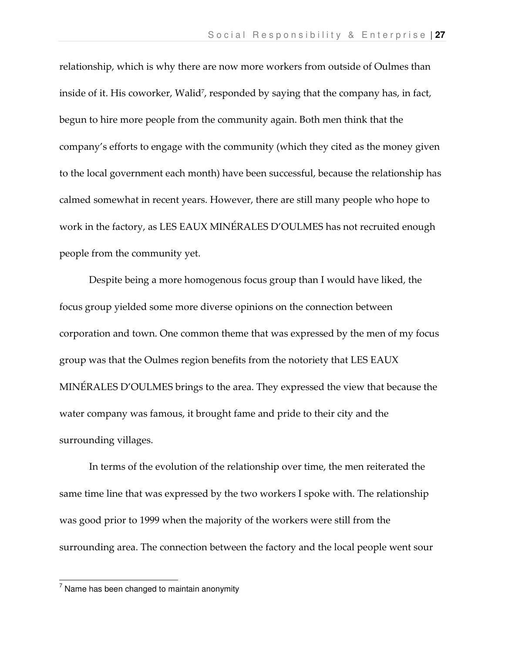relationship, which is why there are now more workers from outside of Oulmes than inside of it. His coworker, Walid<sup>7</sup>, responded by saying that the company has, in fact, begun to hire more people from the community again. Both men think that the company's efforts to engage with the community (which they cited as the money given to the local government each month) have been successful, because the relationship has calmed somewhat in recent years. However, there are still many people who hope to work in the factory, as LES EAUX MINÉRALES D'OULMES has not recruited enough people from the community yet.

 Despite being a more homogenous focus group than I would have liked, the focus group yielded some more diverse opinions on the connection between corporation and town. One common theme that was expressed by the men of my focus group was that the Oulmes region benefits from the notoriety that LES EAUX MINÉRALES D'OULMES brings to the area. They expressed the view that because the water company was famous, it brought fame and pride to their city and the surrounding villages.

 In terms of the evolution of the relationship over time, the men reiterated the same time line that was expressed by the two workers I spoke with. The relationship was good prior to 1999 when the majority of the workers were still from the surrounding area. The connection between the factory and the local people went sour

<sup>-&</sup>lt;br><sup>7</sup> Name has been changed to maintain anonymity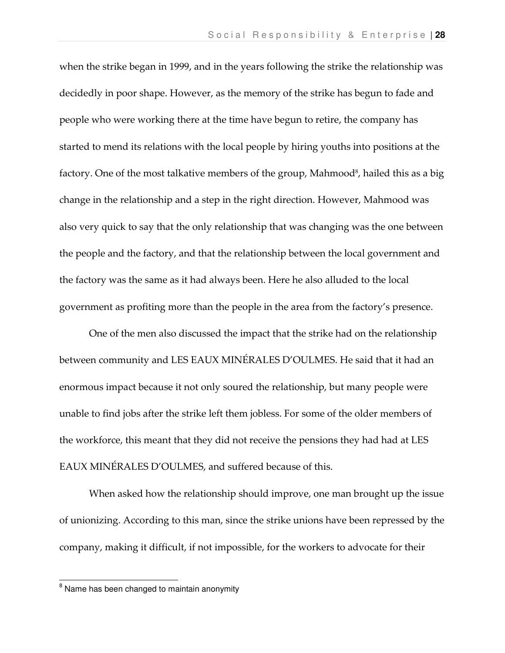when the strike began in 1999, and in the years following the strike the relationship was decidedly in poor shape. However, as the memory of the strike has begun to fade and people who were working there at the time have begun to retire, the company has started to mend its relations with the local people by hiring youths into positions at the factory. One of the most talkative members of the group, Mahmood<sup>8</sup>, hailed this as a big change in the relationship and a step in the right direction. However, Mahmood was also very quick to say that the only relationship that was changing was the one between the people and the factory, and that the relationship between the local government and the factory was the same as it had always been. Here he also alluded to the local government as profiting more than the people in the area from the factory's presence.

 One of the men also discussed the impact that the strike had on the relationship between community and LES EAUX MINÉRALES D'OULMES. He said that it had an enormous impact because it not only soured the relationship, but many people were unable to find jobs after the strike left them jobless. For some of the older members of the workforce, this meant that they did not receive the pensions they had had at LES EAUX MINÉRALES D'OULMES, and suffered because of this.

 When asked how the relationship should improve, one man brought up the issue of unionizing. According to this man, since the strike unions have been repressed by the company, making it difficult, if not impossible, for the workers to advocate for their

 8 Name has been changed to maintain anonymity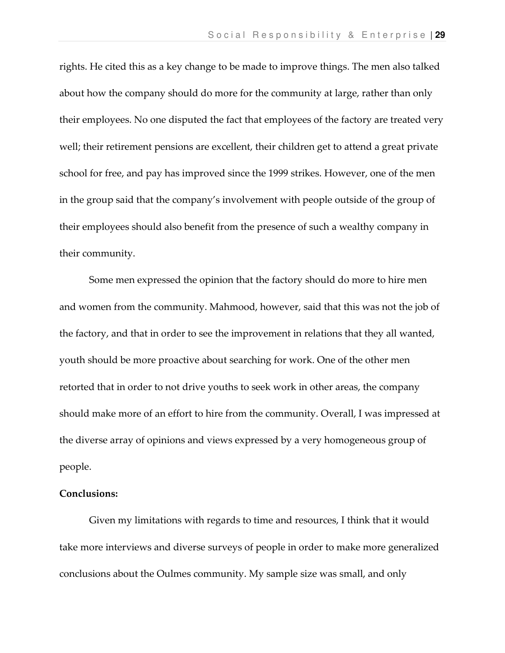rights. He cited this as a key change to be made to improve things. The men also talked about how the company should do more for the community at large, rather than only their employees. No one disputed the fact that employees of the factory are treated very well; their retirement pensions are excellent, their children get to attend a great private school for free, and pay has improved since the 1999 strikes. However, one of the men in the group said that the company's involvement with people outside of the group of their employees should also benefit from the presence of such a wealthy company in their community.

 Some men expressed the opinion that the factory should do more to hire men and women from the community. Mahmood, however, said that this was not the job of the factory, and that in order to see the improvement in relations that they all wanted, youth should be more proactive about searching for work. One of the other men retorted that in order to not drive youths to seek work in other areas, the company should make more of an effort to hire from the community. Overall, I was impressed at the diverse array of opinions and views expressed by a very homogeneous group of people.

#### Conclusions:

Given my limitations with regards to time and resources, I think that it would take more interviews and diverse surveys of people in order to make more generalized conclusions about the Oulmes community. My sample size was small, and only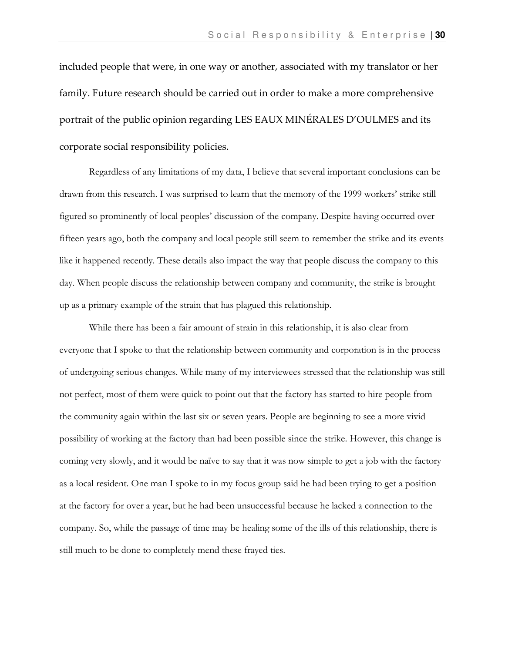included people that were, in one way or another, associated with my translator or her family. Future research should be carried out in order to make a more comprehensive portrait of the public opinion regarding LES EAUX MINÉRALES D'OULMES and its corporate social responsibility policies.

Regardless of any limitations of my data, I believe that several important conclusions can be drawn from this research. I was surprised to learn that the memory of the 1999 workers' strike still figured so prominently of local peoples' discussion of the company. Despite having occurred over fifteen years ago, both the company and local people still seem to remember the strike and its events like it happened recently. These details also impact the way that people discuss the company to this day. When people discuss the relationship between company and community, the strike is brought up as a primary example of the strain that has plagued this relationship.

 While there has been a fair amount of strain in this relationship, it is also clear from everyone that I spoke to that the relationship between community and corporation is in the process of undergoing serious changes. While many of my interviewees stressed that the relationship was still not perfect, most of them were quick to point out that the factory has started to hire people from the community again within the last six or seven years. People are beginning to see a more vivid possibility of working at the factory than had been possible since the strike. However, this change is coming very slowly, and it would be naïve to say that it was now simple to get a job with the factory as a local resident. One man I spoke to in my focus group said he had been trying to get a position at the factory for over a year, but he had been unsuccessful because he lacked a connection to the company. So, while the passage of time may be healing some of the ills of this relationship, there is still much to be done to completely mend these frayed ties.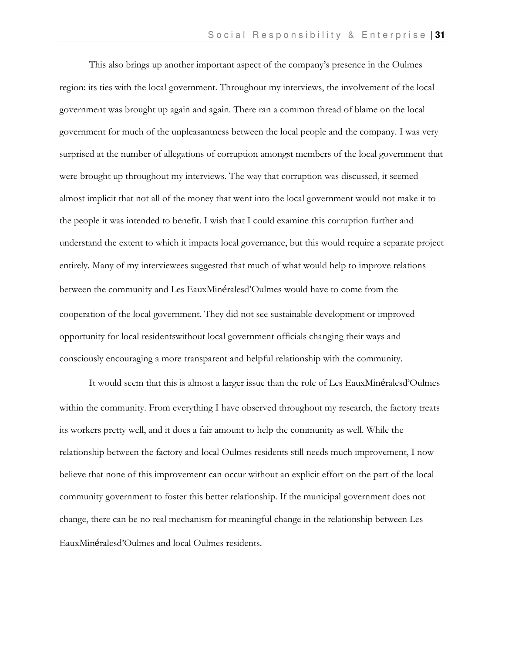This also brings up another important aspect of the company's presence in the Oulmes region: its ties with the local government. Throughout my interviews, the involvement of the local government was brought up again and again. There ran a common thread of blame on the local government for much of the unpleasantness between the local people and the company. I was very surprised at the number of allegations of corruption amongst members of the local government that were brought up throughout my interviews. The way that corruption was discussed, it seemed almost implicit that not all of the money that went into the local government would not make it to the people it was intended to benefit. I wish that I could examine this corruption further and understand the extent to which it impacts local governance, but this would require a separate project entirely. Many of my interviewees suggested that much of what would help to improve relations between the community and Les EauxMinéralesd'Oulmes would have to come from the cooperation of the local government. They did not see sustainable development or improved opportunity for local residentswithout local government officials changing their ways and consciously encouraging a more transparent and helpful relationship with the community.

 It would seem that this is almost a larger issue than the role of Les EauxMinéralesd'Oulmes within the community. From everything I have observed throughout my research, the factory treats its workers pretty well, and it does a fair amount to help the community as well. While the relationship between the factory and local Oulmes residents still needs much improvement, I now believe that none of this improvement can occur without an explicit effort on the part of the local community government to foster this better relationship. If the municipal government does not change, there can be no real mechanism for meaningful change in the relationship between Les EauxMinéralesd'Oulmes and local Oulmes residents.